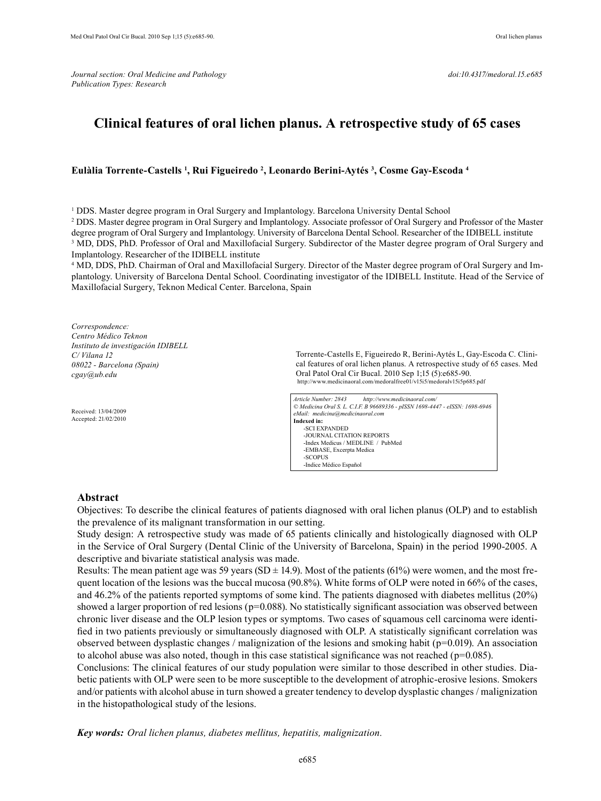# **Clinical features of oral lichen planus. A retrospective study of 65 cases**

## **Eulàlia Torrente-Castells 1 , Rui Figueiredo 2 , Leonardo Berini-Aytés 3 , Cosme Gay-Escoda 4**

1 DDS. Master degree program in Oral Surgery and Implantology. Barcelona University Dental School

2 DDS. Master degree program in Oral Surgery and Implantology. Associate professor of Oral Surgery and Professor of the Master degree program of Oral Surgery and Implantology. University of Barcelona Dental School. Researcher of the IDIBELL institute <sup>3</sup> MD, DDS, PhD. Professor of Oral and Maxillofacial Surgery. Subdirector of the Master degree program of Oral Surgery and Implantology. Researcher of the IDIBELL institute

4 MD, DDS, PhD. Chairman of Oral and Maxillofacial Surgery. Director of the Master degree program of Oral Surgery and Implantology. University of Barcelona Dental School. Coordinating investigator of the IDIBELL Institute. Head of the Service of Maxillofacial Surgery, Teknon Medical Center. Barcelona, Spain

*Correspondence: Centro Médico Teknon Instituto de investigación IDIBELL C/ Vilana 12 08022 - Barcelona (Spain) cgay@ub.edu*

Received: 13/04/2009 Accepted: 21/02/2010 Torrente-Castells E, Figueiredo R, Berini-Aytés L, Gay-Escoda C. Clinical features of oral lichen planus. A retrospective study of 65 cases. Med Oral Patol Oral Cir Bucal. 2010 Sep 1;15 (5):e685-90. http://www.medicinaoral.com/medoralfree01/v15i5/medoralv15i5p685.pdf

*Article Number: 2843 http://www.medicinaoral.com/ © Medicina Oral S. L. C.I.F. B 96689336 - pISSN 1698-4447 - eISSN: 1698-6946 eMail: medicina@medicinaoral.com*  **Indexed in:**  -SCI EXPANDED -JOURNAL CITATION REPORTS -Index Medicus / MEDLINE / PubMed -EMBASE, Excerpta Medica -SCOPUS -Indice Médico Español

#### **Abstract**

Objectives: To describe the clinical features of patients diagnosed with oral lichen planus (OLP) and to establish the prevalence of its malignant transformation in our setting.

Study design: A retrospective study was made of 65 patients clinically and histologically diagnosed with OLP in the Service of Oral Surgery (Dental Clinic of the University of Barcelona, Spain) in the period 1990-2005. A descriptive and bivariate statistical analysis was made.

Results: The mean patient age was 59 years (SD  $\pm$  14.9). Most of the patients (61%) were women, and the most frequent location of the lesions was the buccal mucosa (90.8%). White forms of OLP were noted in 66% of the cases, and 46.2% of the patients reported symptoms of some kind. The patients diagnosed with diabetes mellitus (20%) showed a larger proportion of red lesions ( $p=0.088$ ). No statistically significant association was observed between chronic liver disease and the OLP lesion types or symptoms. Two cases of squamous cell carcinoma were identified in two patients previously or simultaneously diagnosed with OLP. A statistically significant correlation was observed between dysplastic changes / malignization of the lesions and smoking habit ( $p=0.019$ ). An association to alcohol abuse was also noted, though in this case statistical significance was not reached ( $p=0.085$ ).

Conclusions: The clinical features of our study population were similar to those described in other studies. Diabetic patients with OLP were seen to be more susceptible to the development of atrophic-erosive lesions. Smokers and/or patients with alcohol abuse in turn showed a greater tendency to develop dysplastic changes / malignization in the histopathological study of the lesions.

*Key words: Oral lichen planus, diabetes mellitus, hepatitis, malignization.*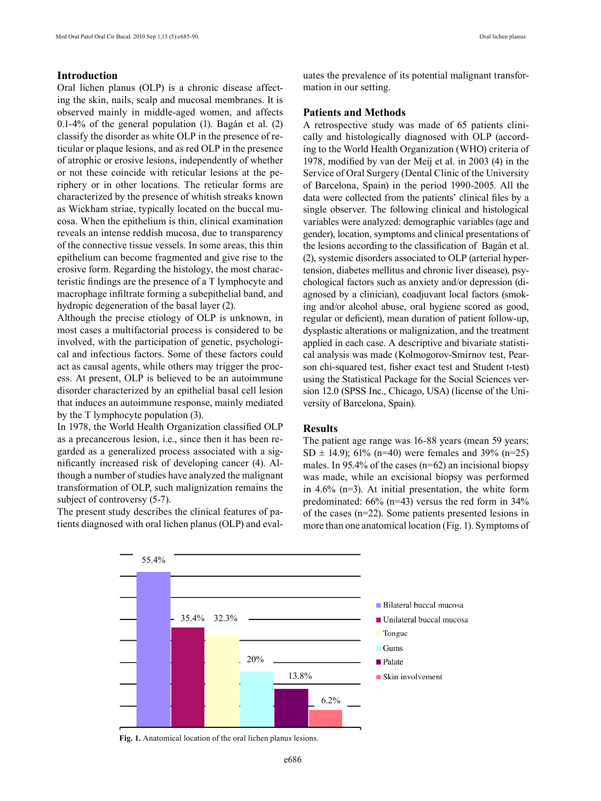# **Introduction**

Oral lichen planus (OLP) is a chronic disease affecting the skin, nails, scalp and mucosal membranes. It is observed mainly in middle-aged women, and affects 0.1-4% of the general population (1). Bagán et al. (2) classify the disorder as white OLP in the presence of reticular or plaque lesions, and as red OLP in the presence of atrophic or erosive lesions, independently of whether or not these coincide with reticular lesions at the periphery or in other locations. The reticular forms are characterized by the presence of whitish streaks known as Wickham striae, typically located on the buccal mucosa. When the epithelium is thin, clinical examination reveals an intense reddish mucosa, due to transparency of the connective tissue vessels. In some areas, this thin epithelium can become fragmented and give rise to the erosive form. Regarding the histology, the most characteristic findings are the presence of a T lymphocyte and macrophage infiltrate forming a subepithelial band, and hydropic degeneration of the basal layer (2).

Although the precise etiology of OLP is unknown, in most cases a multifactorial process is considered to be involved, with the participation of genetic, psychological and infectious factors. Some of these factors could act as causal agents, while others may trigger the process. At present, OLP is believed to be an autoimmune disorder characterized by an epithelial basal cell lesion that induces an autoimmune response, mainly mediated by the T lymphocyte population (3).

In 1978, the World Health Organization classified OLP as a precancerous lesion, i.e., since then it has been regarded as a generalized process associated with a significantly increased risk of developing cancer (4). Although a number of studies have analyzed the malignant transformation of OLP, such malignization remains the subject of controversy (5-7).

The present study describes the clinical features of patients diagnosed with oral lichen planus (OLP) and evaluates the prevalence of its potential malignant transformation in our setting.

# **Patients and Methods**

A retrospective study was made of 65 patients clinically and histologically diagnosed with OLP (according to the World Health Organization (WHO) criteria of 1978, modified by van der Meij et al. in 2003 (4) in the Service of Oral Surgery (Dental Clinic of the University of Barcelona, Spain) in the period 1990-2005. All the data were collected from the patients' clinical files by a single observer. The following clinical and histological variables were analyzed: demographic variables (age and gender), location, symptoms and clinical presentations of the lesions according to the classification of Bagán et al. (2), systemic disorders associated to OLP (arterial hypertension, diabetes mellitus and chronic liver disease), psychological factors such as anxiety and/or depression (diagnosed by a clinician), coadjuvant local factors (smoking and/or alcohol abuse, oral hygiene scored as good, regular or deficient), mean duration of patient follow-up, dysplastic alterations or malignization, and the treatment applied in each case. A descriptive and bivariate statistical analysis was made (Kolmogorov-Smirnov test, Pearson chi-squared test, fisher exact test and Student t-test) using the Statistical Package for the Social Sciences version 12.0 (SPSS Inc., Chicago, USA) (license of the University of Barcelona, Spain).

#### **Results**

The patient age range was 16-88 years (mean 59 years; SD  $\pm$  14.9); 61% (n=40) were females and 39% (n=25) males. In 95.4% of the cases (n=62) an incisional biopsy was made, while an excisional biopsy was performed in 4.6% (n=3). At initial presentation, the white form predominated: 66% (n=43) versus the red form in 34% of the cases (n=22). Some patients presented lesions in more than one anatomical location (Fig. 1). Symptoms of



**Fig. 1.** Anatomical location of the oral lichen planus lesions.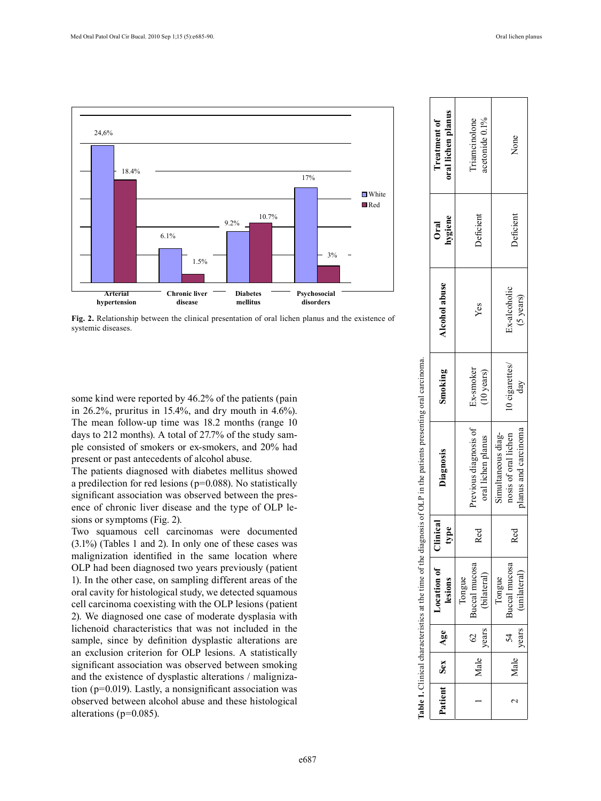

**Fig. 2.** Relationship between the clinical presentation of oral lichen planus and the existence of systemic diseases.

some kind were reported by 46.2% of the patients (pain in 26.2%, pruritus in  $15.4\%$ , and dry mouth in  $4.6\%$ ). The mean follow-up time was 18.2 months (range 10 days to 212 months). A total of 27.7% of the study sample consisted of smokers or ex-smokers, and 20% had present or past antecedents of alcohol abuse.

The patients diagnosed with diabetes mellitus showed a predilection for red lesions (p=0.088). No statistically significant association was observed between the presence of chronic liver disease and the type of OLP lesions or symptoms (Fig. 2).

Two squamous cell carcinomas were documented (3.1%) (Tables 1 and 2). In only one of these cases was malignization identified in the same location where OLP had been diagnosed two years previously (patient 1). In the other case, on sampling different areas of the oral cavity for histological study, we detected squamous cell carcinoma coexisting with the OLP lesions (patient 2). We diagnosed one case of moderate dysplasia with lichenoid characteristics that was not included in the sample, since by definition dysplastic alterations are an exclusion criterion for OLP lesions. A statistically significant association was observed between smoking and the existence of dysplastic alterations / malignization (p=0.019). Lastly, a nonsignificant association was observed between alcohol abuse and these histological alterations (p=0.085).

|                     |      |       | <b>Table 1.</b> Clinical characteristics at the time of the dia |                 | agnosis of OLP in the patients presenting oral carcinoma.          |                                   |                          |                        |                                           |  |
|---------------------|------|-------|-----------------------------------------------------------------|-----------------|--------------------------------------------------------------------|-----------------------------------|--------------------------|------------------------|-------------------------------------------|--|
| Patient   Sex   Age |      |       | Location of<br>lesions                                          | linical<br>type | Diagnosis                                                          | Smoking                           | Alcohol abuse            | hygiene<br><b>Oral</b> | oral lichen planus<br><b>Treatment of</b> |  |
|                     | Male | years | 62   Buccal mucosa<br>(bilateral)<br>Tongue                     | Red             | Previous diagnosis of<br>oral lichen planus                        | Ex-smoker<br>$(10 \text{ years})$ | Yes                      | <b>Deficient</b>       | acetonide 0.1%<br><b>friamcinolone</b>    |  |
|                     | Male |       | 54   Buccal mucosa<br>years (unilateral)<br>Tongue              | Red             | planus and carcinoma<br>simultaneous diag-<br>nosis of oral lichen | 10 cigarettes/<br>dav             | Ex-alcoholic<br>(Syears) | <b>Deficient</b>       | None                                      |  |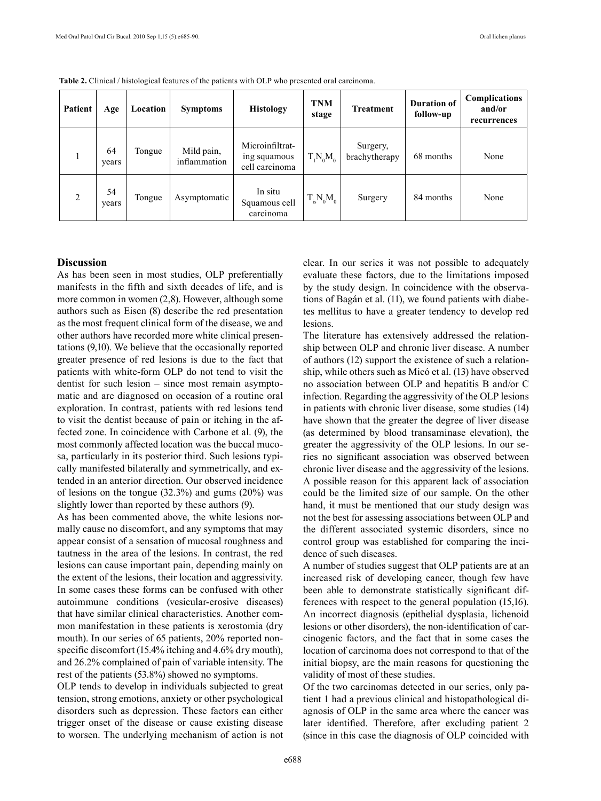| Patient                     | Age         | Location | <b>Symptoms</b>            | <b>Histology</b>                                  | <b>TNM</b><br>stage | <b>Treatment</b>          | <b>Duration of</b><br>follow-up | <b>Complications</b><br>and/or<br>recurrences |
|-----------------------------|-------------|----------|----------------------------|---------------------------------------------------|---------------------|---------------------------|---------------------------------|-----------------------------------------------|
|                             | 64<br>years | Tongue   | Mild pain,<br>inflammation | Microinfiltrat-<br>ing squamous<br>cell carcinoma | $T_1N_0M_0$         | Surgery,<br>brachytherapy | 68 months                       | None                                          |
| $\mathcal{D}_{\mathcal{L}}$ | 54<br>years | Tongue   | Asymptomatic               | In situ<br>Squamous cell<br>carcinoma             | $T_{is}N_0M_0$      | Surgery                   | 84 months                       | None                                          |

**Table 2.** Clinical / histological features of the patients with OLP who presented oral carcinoma.

## **Discussion**

As has been seen in most studies, OLP preferentially manifests in the fifth and sixth decades of life, and is more common in women (2,8). However, although some authors such as Eisen (8) describe the red presentation as the most frequent clinical form of the disease, we and other authors have recorded more white clinical presentations (9,10). We believe that the occasionally reported greater presence of red lesions is due to the fact that patients with white-form OLP do not tend to visit the dentist for such lesion – since most remain asymptomatic and are diagnosed on occasion of a routine oral exploration. In contrast, patients with red lesions tend to visit the dentist because of pain or itching in the affected zone. In coincidence with Carbone et al. (9), the most commonly affected location was the buccal mucosa, particularly in its posterior third. Such lesions typically manifested bilaterally and symmetrically, and extended in an anterior direction. Our observed incidence of lesions on the tongue (32.3%) and gums (20%) was slightly lower than reported by these authors (9).

As has been commented above, the white lesions normally cause no discomfort, and any symptoms that may appear consist of a sensation of mucosal roughness and tautness in the area of the lesions. In contrast, the red lesions can cause important pain, depending mainly on the extent of the lesions, their location and aggressivity. In some cases these forms can be confused with other autoimmune conditions (vesicular-erosive diseases) that have similar clinical characteristics. Another common manifestation in these patients is xerostomia (dry mouth). In our series of 65 patients, 20% reported nonspecific discomfort (15.4% itching and 4.6% dry mouth), and 26.2% complained of pain of variable intensity. The rest of the patients (53.8%) showed no symptoms.

OLP tends to develop in individuals subjected to great tension, strong emotions, anxiety or other psychological disorders such as depression. These factors can either trigger onset of the disease or cause existing disease to worsen. The underlying mechanism of action is not clear. In our series it was not possible to adequately evaluate these factors, due to the limitations imposed by the study design. In coincidence with the observations of Bagán et al. (11), we found patients with diabetes mellitus to have a greater tendency to develop red lesions.

The literature has extensively addressed the relationship between OLP and chronic liver disease. A number of authors (12) support the existence of such a relationship, while others such as Micó et al. (13) have observed no association between OLP and hepatitis B and/or C infection. Regarding the aggressivity of the OLP lesions in patients with chronic liver disease, some studies (14) have shown that the greater the degree of liver disease (as determined by blood transaminase elevation), the greater the aggressivity of the OLP lesions. In our series no significant association was observed between chronic liver disease and the aggressivity of the lesions. A possible reason for this apparent lack of association could be the limited size of our sample. On the other hand, it must be mentioned that our study design was not the best for assessing associations between OLP and the different associated systemic disorders, since no control group was established for comparing the incidence of such diseases.

A number of studies suggest that OLP patients are at an increased risk of developing cancer, though few have been able to demonstrate statistically significant differences with respect to the general population (15,16). An incorrect diagnosis (epithelial dysplasia, lichenoid lesions or other disorders), the non-identification of carcinogenic factors, and the fact that in some cases the location of carcinoma does not correspond to that of the initial biopsy, are the main reasons for questioning the validity of most of these studies.

Of the two carcinomas detected in our series, only patient 1 had a previous clinical and histopathological diagnosis of OLP in the same area where the cancer was later identified. Therefore, after excluding patient 2 (since in this case the diagnosis of OLP coincided with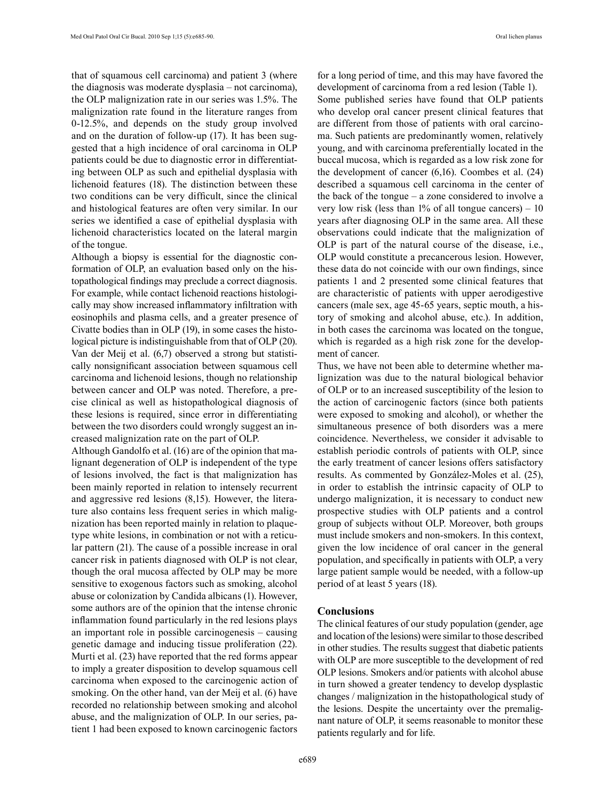that of squamous cell carcinoma) and patient 3 (where the diagnosis was moderate dysplasia – not carcinoma), the OLP malignization rate in our series was 1.5%. The malignization rate found in the literature ranges from 0-12.5%, and depends on the study group involved and on the duration of follow-up (17). It has been suggested that a high incidence of oral carcinoma in OLP patients could be due to diagnostic error in differentiating between OLP as such and epithelial dysplasia with lichenoid features (18). The distinction between these two conditions can be very difficult, since the clinical and histological features are often very similar. In our series we identified a case of epithelial dysplasia with lichenoid characteristics located on the lateral margin of the tongue.

Although a biopsy is essential for the diagnostic conformation of OLP, an evaluation based only on the histopathological findings may preclude a correct diagnosis. For example, while contact lichenoid reactions histologically may show increased inflammatory infiltration with eosinophils and plasma cells, and a greater presence of Civatte bodies than in OLP (19), in some cases the histological picture is indistinguishable from that of OLP (20). Van der Meij et al. (6,7) observed a strong but statistically nonsignificant association between squamous cell carcinoma and lichenoid lesions, though no relationship between cancer and OLP was noted. Therefore, a precise clinical as well as histopathological diagnosis of these lesions is required, since error in differentiating between the two disorders could wrongly suggest an increased malignization rate on the part of OLP.

Although Gandolfo et al. (16) are of the opinion that malignant degeneration of OLP is independent of the type of lesions involved, the fact is that malignization has been mainly reported in relation to intensely recurrent and aggressive red lesions (8,15). However, the literature also contains less frequent series in which malignization has been reported mainly in relation to plaquetype white lesions, in combination or not with a reticular pattern (21). The cause of a possible increase in oral cancer risk in patients diagnosed with OLP is not clear, though the oral mucosa affected by OLP may be more sensitive to exogenous factors such as smoking, alcohol abuse or colonization by Candida albicans (1). However, some authors are of the opinion that the intense chronic inflammation found particularly in the red lesions plays an important role in possible carcinogenesis – causing genetic damage and inducing tissue proliferation (22). Murti et al. (23) have reported that the red forms appear to imply a greater disposition to develop squamous cell carcinoma when exposed to the carcinogenic action of smoking. On the other hand, van der Meij et al. (6) have recorded no relationship between smoking and alcohol abuse, and the malignization of OLP. In our series, patient 1 had been exposed to known carcinogenic factors

for a long period of time, and this may have favored the development of carcinoma from a red lesion (Table 1). Some published series have found that OLP patients who develop oral cancer present clinical features that are different from those of patients with oral carcinoma. Such patients are predominantly women, relatively young, and with carcinoma preferentially located in the buccal mucosa, which is regarded as a low risk zone for the development of cancer (6,16). Coombes et al. (24) described a squamous cell carcinoma in the center of the back of the tongue – a zone considered to involve a very low risk (less than  $1\%$  of all tongue cancers) – 10 years after diagnosing OLP in the same area. All these observations could indicate that the malignization of OLP is part of the natural course of the disease, i.e., OLP would constitute a precancerous lesion. However, these data do not coincide with our own findings, since patients 1 and 2 presented some clinical features that are characteristic of patients with upper aerodigestive cancers (male sex, age 45-65 years, septic mouth, a history of smoking and alcohol abuse, etc.). In addition, in both cases the carcinoma was located on the tongue, which is regarded as a high risk zone for the development of cancer.

Thus, we have not been able to determine whether malignization was due to the natural biological behavior of OLP or to an increased susceptibility of the lesion to the action of carcinogenic factors (since both patients were exposed to smoking and alcohol), or whether the simultaneous presence of both disorders was a mere coincidence. Nevertheless, we consider it advisable to establish periodic controls of patients with OLP, since the early treatment of cancer lesions offers satisfactory results. As commented by González-Moles et al. (25), in order to establish the intrinsic capacity of OLP to undergo malignization, it is necessary to conduct new prospective studies with OLP patients and a control group of subjects without OLP. Moreover, both groups must include smokers and non-smokers. In this context, given the low incidence of oral cancer in the general population, and specifically in patients with OLP, a very large patient sample would be needed, with a follow-up period of at least 5 years (18).

#### **Conclusions**

The clinical features of our study population (gender, age and location of the lesions) were similar to those described in other studies. The results suggest that diabetic patients with OLP are more susceptible to the development of red OLP lesions. Smokers and/or patients with alcohol abuse in turn showed a greater tendency to develop dysplastic changes / malignization in the histopathological study of the lesions. Despite the uncertainty over the premalignant nature of OLP, it seems reasonable to monitor these patients regularly and for life.